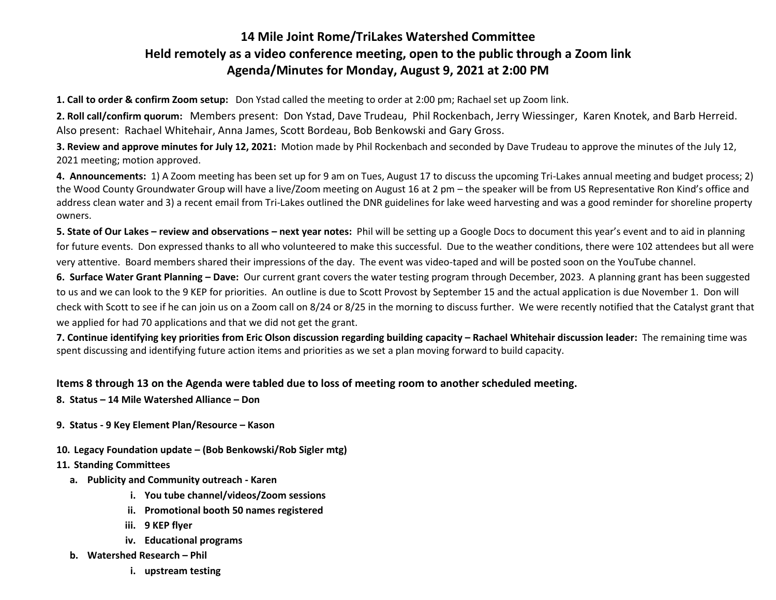## **14 Mile Joint Rome/TriLakes Watershed Committee Held remotely as a video conference meeting, open to the public through a Zoom link Agenda/Minutes for Monday, August 9, 2021 at 2:00 PM**

**1. Call to order & confirm Zoom setup:** Don Ystad called the meeting to order at 2:00 pm; Rachael set up Zoom link.

**2. Roll call/confirm quorum:** Members present: Don Ystad, Dave Trudeau, Phil Rockenbach, Jerry Wiessinger, Karen Knotek, and Barb Herreid. Also present: Rachael Whitehair, Anna James, Scott Bordeau, Bob Benkowski and Gary Gross.

**3. Review and approve minutes for July 12, 2021:** Motion made by Phil Rockenbach and seconded by Dave Trudeau to approve the minutes of the July 12, 2021 meeting; motion approved.

**4. Announcements:** 1) A Zoom meeting has been set up for 9 am on Tues, August 17 to discuss the upcoming Tri-Lakes annual meeting and budget process; 2) the Wood County Groundwater Group will have a live/Zoom meeting on August 16 at 2 pm – the speaker will be from US Representative Ron Kind's office and address clean water and 3) a recent email from Tri-Lakes outlined the DNR guidelines for lake weed harvesting and was a good reminder for shoreline property owners.

**5. State of Our Lakes – review and observations – next year notes:** Phil will be setting up a Google Docs to document this year's event and to aid in planning for future events. Don expressed thanks to all who volunteered to make this successful. Due to the weather conditions, there were 102 attendees but all were very attentive. Board members shared their impressions of the day. The event was video-taped and will be posted soon on the YouTube channel.

**6. Surface Water Grant Planning – Dave:** Our current grant covers the water testing program through December, 2023. A planning grant has been suggested to us and we can look to the 9 KEP for priorities. An outline is due to Scott Provost by September 15 and the actual application is due November 1. Don will check with Scott to see if he can join us on a Zoom call on 8/24 or 8/25 in the morning to discuss further. We were recently notified that the Catalyst grant that we applied for had 70 applications and that we did not get the grant.

**7. Continue identifying key priorities from Eric Olson discussion regarding building capacity – Rachael Whitehair discussion leader:** The remaining time was spent discussing and identifying future action items and priorities as we set a plan moving forward to build capacity.

## **Items 8 through 13 on the Agenda were tabled due to loss of meeting room to another scheduled meeting.**

- **8. Status – 14 Mile Watershed Alliance – Don**
- **9. Status - 9 Key Element Plan/Resource – Kason**
- **10. Legacy Foundation update – (Bob Benkowski/Rob Sigler mtg)**

## **11. Standing Committees**

- **a. Publicity and Community outreach - Karen**
	- **i. You tube channel/videos/Zoom sessions**
	- **ii. Promotional booth 50 names registered**
	- **iii. 9 KEP flyer**
	- **iv. Educational programs**
- **b. Watershed Research – Phil**
	- **i. upstream testing**